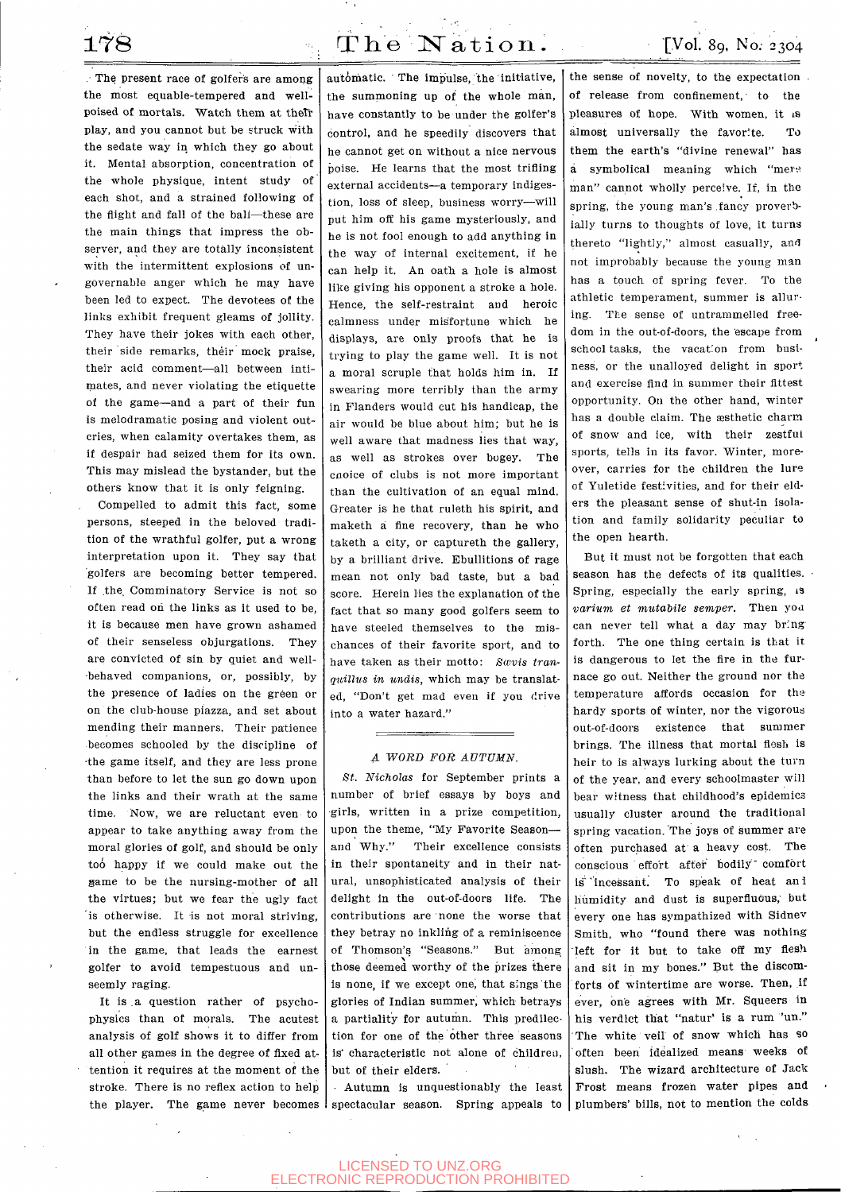. The present race of golfer's are among the most equable-tempered and wellpoised of mortals. Watch them at the<br>Tr play, and you cannot but be struck with the sedate way in which they go about it. Mental absorption, concentration of the whole physique, intent study of each shot, and a strained following of the flight and fall of the ball—these are the main things that impress the observer, and they are totally inconsistent with the intermittent explosions of ungovernable anger which he may have been led to expect. The devotees of the links exhibit frequent gleams of jollity. They have their jokes with each other, their side remarks, their mock praise, their acid comment—all between intimates, and never violating the etiquette of the game—and a part of their fun is melodramatic posing and violent outcries, when calamity overtakes them, as if despair had seized them for its own. This may mislead the bystander, but the others know that it is only feigning.

Compelled to admit this fact, some persons, steeped in the beloved tradition of the wrathful golfer, put a wrong interpretation upon it. They say that •golfers are becoming better tempered. If the, Comminatory Service is not so often read on the links as it used to be, it is because men have grown ashamed of their senseless objurgations. They are convicted of sin by quiet and wellbehaved companions, or, possibly, by the presence of ladies on the green or on the club-house piazza, and set about mending their manners. Their patience becomes schooled by the discipline of •the game itself, and they are less prone than before to let the sun go down upon the links and their wrath at the same time. Now, we are reluctant even to appear to take anything away from the moral glories of golf, and should be only moral glories of golf, and should be only and Why."<br>too happy if we could make out the in their spo game to be the nursing-mother of all the virtues; but we fear the ugly fact is otherwise. It is not moral striving, hut the endless struggle for excellence in the game, that leads the earnest golfer to avoid tempestuous and unseemly raging.

It is .a question rather of psychophysics than of morals. The acutest analysis of golf shows it to differ from all other games in the degree of fixed attention it requires at the moment of the stroke. There is no reflex action to help the player. The game never becomes

 $178$  The Nation. [Vol. 89, No. 2304]

automatic. The Impulse, the initiative, the summoning up of the whole man, have constantly to be under the golfer's control, and he speedily discovers that he cannot get on without a nice nervous poise. He learns that the most trifling external accidents—a temporary indigestion, loss of sleep, business worry—will put him off his game mysteriously, and he is not fool enough to add anything in the way of internal excitement, if he can help it. An oath a hole is almost like giving his opponent a stroke a hole. Hence, the self-restraint and heroic calmness under misfortune which he displays, are only proofs that he Is trying to play the game well. It is not a moral scruple that holds him in. If swearing more terribly than the army in Flanders would cut his handicap, the air would be blue about him; but he is well aware that madness lies that way, as well as strokes over bogey. The cnoice of clubs is not more important than the cultivation of an equal mind. Greater is he that ruleth his spirit, and maketh a fine recovery, than he who taketh a city, or captureth the gallery, by a brilliant drive. Ebullitions of rage mean not only bad taste, but a bad score. Herein lies the explanation of the score. Herein hes the explanation of the have that so many good gollers seem to have steeled themselves to the mis-<br>chances of their favorite sport, and to have taken as their motto: *Swvis trailnave taken as their motto: sœvis translation* quillus in undis, which may be translated, "Don't get mad even if you drive<br>into a water hazard."

## *A WORD FOR AUTUMN.*

*St. Nicholas* for September prints a number of brief essays by boys and girls, written in a prize competition, upon the theme, "My Favorite Season— Their excellence consists in their spontaneity and in their natural, unsophisticated analysis of their delight in the out-of-doors life. The contributions are none the worse that they betray no inkling of a reminiscence of Thomson's "Seasons." But among those deemed worthy of the prizes there is none, if we except one, that sings the glories of Indian summer, which betrays a partiality for autumn. This predilection for one of the other three seasons is characteristic not alone of children, but of their elders.

Autumn is unquestionably the least spectacular season. Spring appeals to

the sense of novelty, to the expectation of release from confinement, to the pleasures of hope. With women, it is almost universally the favorite. To them the earth's "divine renewal" has a symbolical meaning which "mere man" cannot wholly perceive. If, in the spring, the young man's fancy proverbially turns to thoughts of love, it turns thereto "lightly," almost casually, and not improbably because the young man has a touch of spring fever. To the athletic temperament, summer is alluring. The sense of untrammelled freedom in the out-of-doors, the escape from school tasks, the vacation from business, or the unalloyed delight in sport and exercise find in summer their fittest opportunity. On the other hand, winter has a double claim. The aesthetic charm of snow and ice, with their zestful sports, tells in its favor. Winter, moreover, carries for the children the lure of Yuletide festivities, and for their elders the pleasant sense of shut-in isolation and family solidarity peculiar to the open hearth.

But it must not be forgotten that each season has the defects of its qualities. Spring, especially the early spring, 13 *varium et mutabile semper.* Then you can never tell what a day may bring forth. The one thing certain is that it is dangerous to let the fire in the furnace go out. Neither the ground nor the temperature affords occasion for the hardy sports of winter, nor the vigorous out-of-doors existence that summer brings. The illness that mortal flesh is heir to is always lurking about the turn of the year, and every schoolmaster will bear witness that childhood's epidemics usually cluster around the traditional spring vacation. The joys of summer are often purchased at a heavy cost. The conscious effort after bodily comfort is 'incessant. To speak of heat an 1 humidity and dust is superfluous, but every one has sympathized with Sldnev Smith, who "found there was nothing left for it but to take off my flesh and sit in my bones." But the discomforts of wintertime are worse. Then, if ever, one agrees with Mr. Squeers in his verdict that "natur' is a rum "un." The white veil of snow which has so often been idealized means weeks of slush. The wizard architecture of Jack Frost means frozen water pipes and plumbers' bills, not to mention the colds